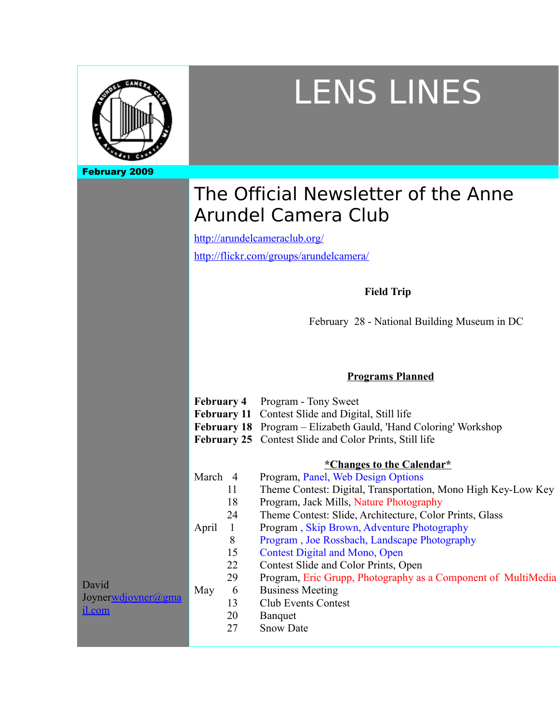

# LENS LINES

## The Official Newsletter of the Anne Arundel Camera Club

http://arundelcameraclub.org/

http://flickr.com/groups/arundelcamera/

## **Field Trip**

February 28 - National Building Museum in DC

|                                                      |         |    | <b>Programs Planned</b>                                                                                                                                                                                                  |
|------------------------------------------------------|---------|----|--------------------------------------------------------------------------------------------------------------------------------------------------------------------------------------------------------------------------|
|                                                      |         |    | <b>February 4</b> Program - Tony Sweet<br>February 11 Contest Slide and Digital, Still life<br>February 18 Program – Elizabeth Gauld, 'Hand Coloring' Workshop<br>February 25 Contest Slide and Color Prints, Still life |
|                                                      |         |    | <i><b><u>*Changes to the Calendar*</u></b></i>                                                                                                                                                                           |
|                                                      | March 4 |    | Program, Panel, Web Design Options                                                                                                                                                                                       |
|                                                      |         | 11 | Theme Contest: Digital, Transportation, Mono High Key-Low Key                                                                                                                                                            |
|                                                      |         | 18 | Program, Jack Mills, Nature Photography                                                                                                                                                                                  |
|                                                      |         | 24 | Theme Contest: Slide, Architecture, Color Prints, Glass                                                                                                                                                                  |
|                                                      | April   |    | Program, Skip Brown, Adventure Photography                                                                                                                                                                               |
|                                                      |         | 8  | Program, Joe Rossbach, Landscape Photography                                                                                                                                                                             |
|                                                      |         | 15 | <b>Contest Digital and Mono, Open</b>                                                                                                                                                                                    |
|                                                      |         | 22 | Contest Slide and Color Prints, Open                                                                                                                                                                                     |
| David<br>Joyner <u>wdjoyner@gma</u><br><u>il.com</u> | May     | 29 | Program, Eric Grupp, Photography as a Component of MultiMedia                                                                                                                                                            |
|                                                      |         | 6  | <b>Business Meeting</b>                                                                                                                                                                                                  |
|                                                      |         | 13 | <b>Club Events Contest</b>                                                                                                                                                                                               |
|                                                      |         | 20 | Banquet                                                                                                                                                                                                                  |
|                                                      |         | 27 | <b>Snow Date</b>                                                                                                                                                                                                         |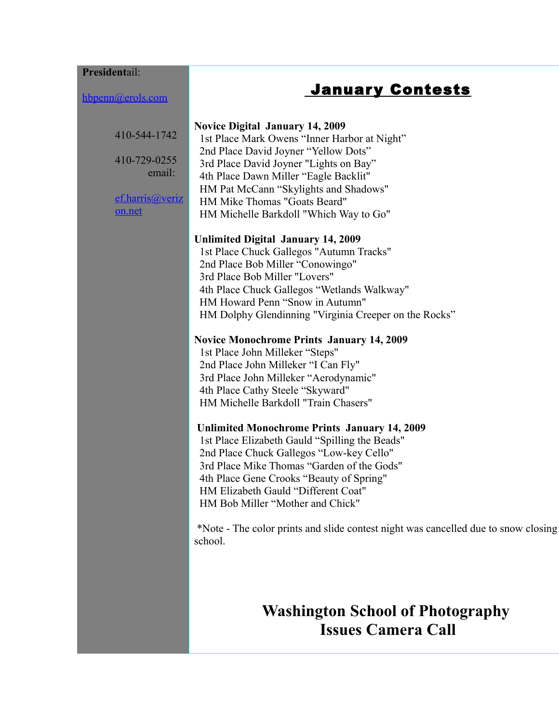#### **President**ail:

hbpenn@erols.com

## January Contests

| 410-544-1742 |  |
|--------------|--|
|              |  |

410-729-0255 email:

ef.harris@veriz on.net

#### **Novice Digital January 14, 2009**

 1st Place Mark Owens "Inner Harbor at Night" 2nd Place David Joyner "Yellow Dots" 3rd Place David Joyner "Lights on Bay" 4th Place Dawn Miller "Eagle Backlit" HM Pat McCann "Skylights and Shadows" HM Mike Thomas "Goats Beard" HM Michelle Barkdoll "Which Way to Go"

#### **Unlimited Digital January 14, 2009**

 1st Place Chuck Gallegos "Autumn Tracks" 2nd Place Bob Miller "Conowingo" 3rd Place Bob Miller "Lovers" 4th Place Chuck Gallegos "Wetlands Walkway" HM Howard Penn "Snow in Autumn" HM Dolphy Glendinning "Virginia Creeper on the Rocks"

#### **Novice Monochrome Prints January 14, 2009**

 1st Place John Milleker "Steps" 2nd Place John Milleker "I Can Fly" 3rd Place John Milleker "Aerodynamic" 4th Place Cathy Steele "Skyward" HM Michelle Barkdoll "Train Chasers"

#### **Unlimited Monochrome Prints January 14, 2009**

 1st Place Elizabeth Gauld "Spilling the Beads" 2nd Place Chuck Gallegos "Low-key Cello" 3rd Place Mike Thomas "Garden of the Gods" 4th Place Gene Crooks "Beauty of Spring" HM Elizabeth Gauld "Different Coat" HM Bob Miller "Mother and Chick"

 \*Note - The color prints and slide contest night was cancelled due to snow closing school.

## **Washington School of Photography Issues Camera Call**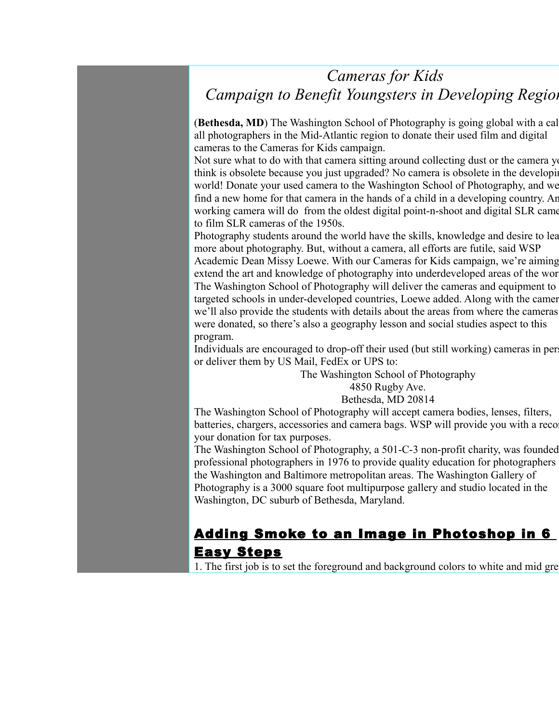## *Cameras for Kids Campaign to Benefit Youngsters in Developing Regions*

(**Bethesda, MD**) The Washington School of Photography is going global with a cal all photographers in the Mid-Atlantic region to donate their used film and digital cameras to the Cameras for Kids campaign.

Not sure what to do with that camera sitting around collecting dust or the camera you think is obsolete because you just upgraded? No camera is obsolete in the developing world! Donate your used camera to the Washington School of Photography, and we find a new home for that camera in the hands of a child in a developing country. An working camera will do from the oldest digital point-n-shoot and digital SLR came to film SLR cameras of the 1950s.

Photography students around the world have the skills, knowledge and desire to learning more about photography. But, without a camera, all efforts are futile, said WSP Academic Dean Missy Loewe. With our Cameras for Kids campaign, we're aiming extend the art and knowledge of photography into underdeveloped areas of the world. The Washington School of Photography will deliver the cameras and equipment to targeted schools in under-developed countries, Loewe added. Along with the cameras, we'll also provide the students with details about the areas from where the cameras were donated, so there's also a geography lesson and social studies aspect to this program.

Individuals are encouraged to drop-off their used (but still working) cameras in per or deliver them by US Mail, FedEx or UPS to:

> The Washington School of Photography 4850 Rugby Ave. Bethesda, MD 20814

The Washington School of Photography will accept camera bodies, lenses, filters, batteries, chargers, accessories and camera bags. WSP will provide you with a reco your donation for tax purposes.

The Washington School of Photography, a 501-C-3 non-profit charity, was founded professional photographers in 1976 to provide quality education for photographers in the Washington and Baltimore metropolitan areas. The Washington Gallery of Photography is a 3000 square foot multipurpose gallery and studio located in the Washington, DC suburb of Bethesda, Maryland.

## Adding Smoke to an Image in Photoshop in 6 Easy Steps

1. The first job is to set the foreground and background colors to white and mid grey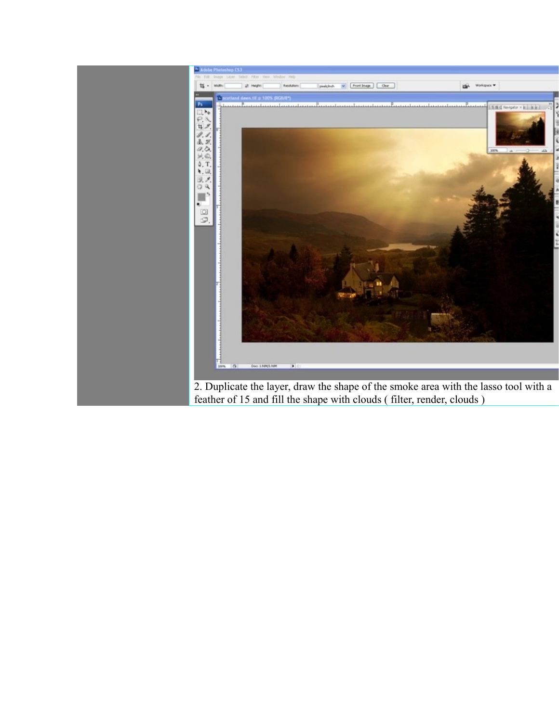

feather of 15 and fill the shape with clouds ( filter, render, clouds )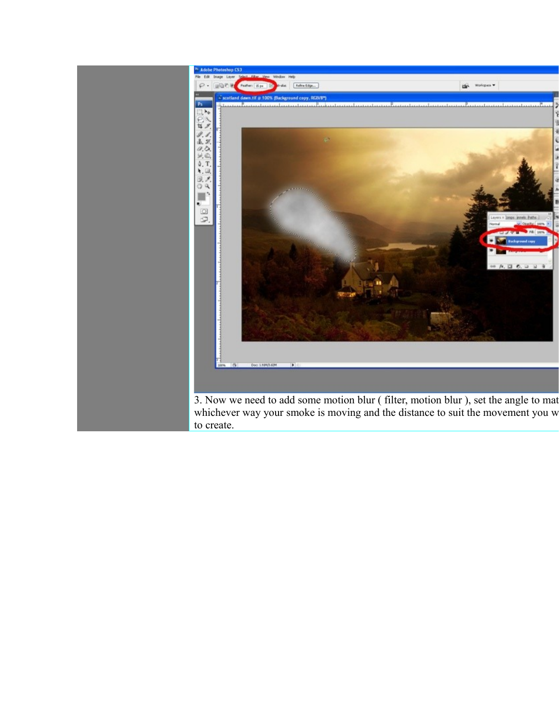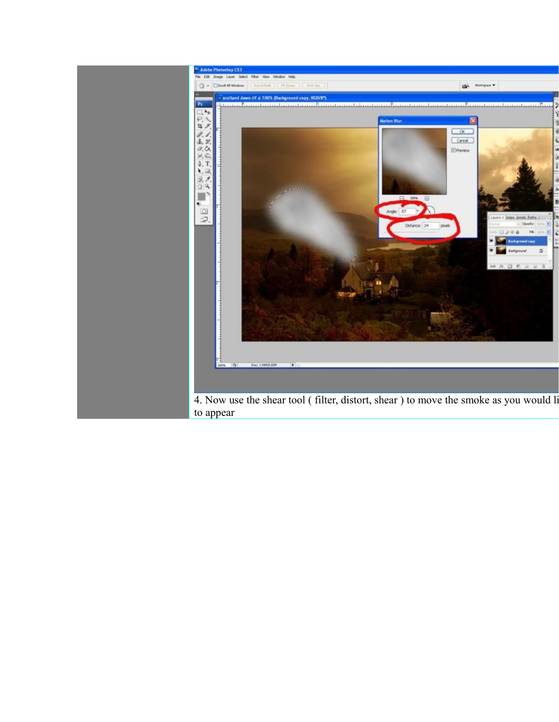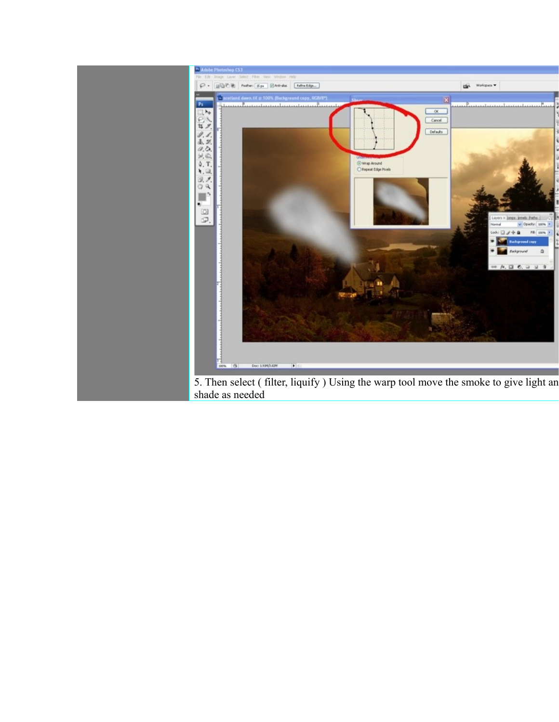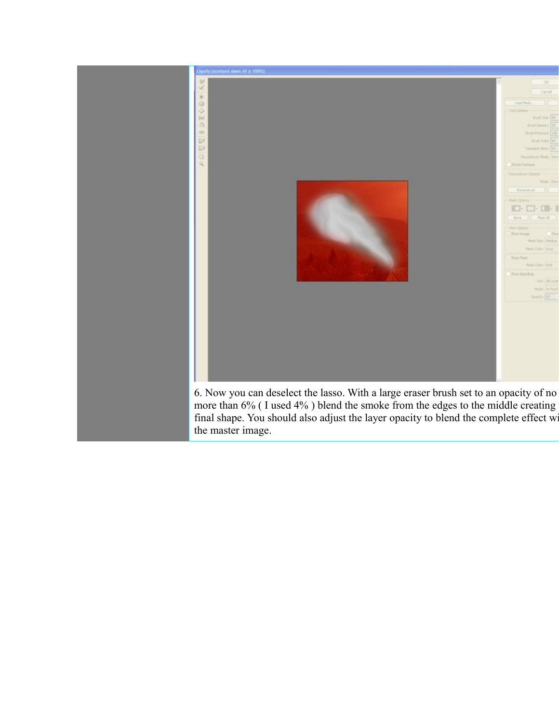

the master image.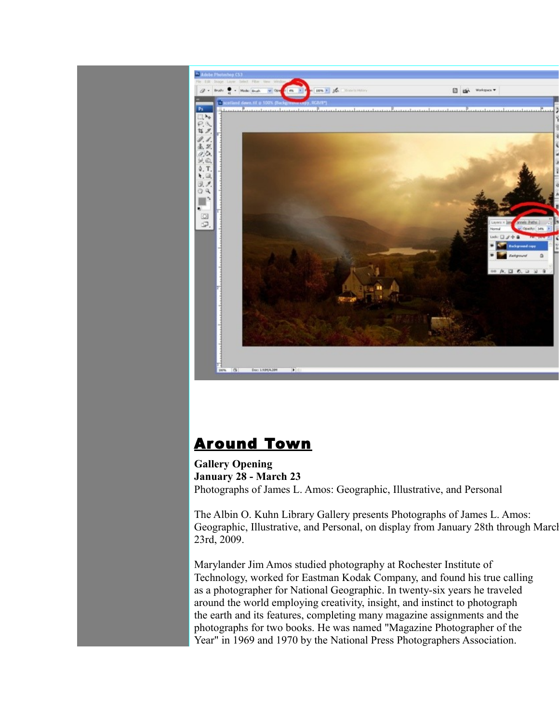

## Around Town

**Gallery Opening January 28 - March 23** Photographs of James L. Amos: Geographic, Illustrative, and Personal

The Albin O. Kuhn Library Gallery presents Photographs of James L. Amos: Geographic, Illustrative, and Personal, on display from January 28th through March 23rd, 2009.

Marylander Jim Amos studied photography at Rochester Institute of Technology, worked for Eastman Kodak Company, and found his true calling as a photographer for National Geographic. In twenty-six years he traveled around the world employing creativity, insight, and instinct to photograph the earth and its features, completing many magazine assignments and the photographs for two books. He was named "Magazine Photographer of the Year" in 1969 and 1970 by the National Press Photographers Association.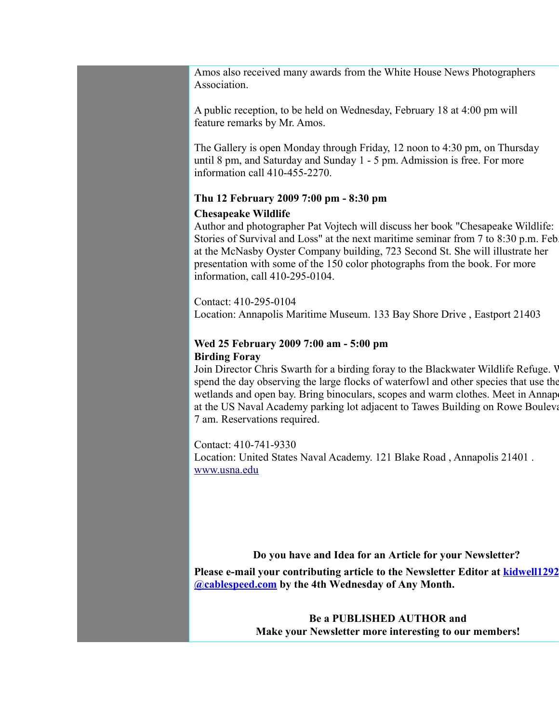Amos also received many awards from the White House News Photographers Association.

A public reception, to be held on Wednesday, February 18 at 4:00 pm will feature remarks by Mr. Amos.

The Gallery is open Monday through Friday, 12 noon to 4:30 pm, on Thursday until 8 pm, and Saturday and Sunday 1 - 5 pm. Admission is free. For more information call 410-455-2270.

## **Thu 12 February 2009 7:00 pm - 8:30 pm**

## **Chesapeake Wildlife**

Author and photographer Pat Vojtech will discuss her book "Chesapeake Wildlife: Stories of Survival and Loss" at the next maritime seminar from 7 to 8:30 p.m. Feb. at the McNasby Oyster Company building, 723 Second St. She will illustrate her presentation with some of the 150 color photographs from the book. For more information, call 410-295-0104.

Contact: 410-295-0104 Location: Annapolis Maritime Museum. 133 Bay Shore Drive , Eastport 21403

## **Wed 25 February 2009 7:00 am - 5:00 pm Birding Foray**

Join Director Chris Swarth for a birding foray to the Blackwater Wildlife Refuge. V spend the day observing the large flocks of waterfowl and other species that use the wetlands and open bay. Bring binoculars, scopes and warm clothes. Meet in Annap at the US Naval Academy parking lot adjacent to Tawes Building on Rowe Boulevard 7 am. Reservations required.

Contact: 410-741-9330

Location: United States Naval Academy. 121 Blake Road , Annapolis 21401 . [www.usna.edu](http://www.usna.edu/)

## **Do you have and Idea for an Article for your Newsletter?**

**Please e-mail your contributing article to the Newsletter Editor at [kidwell1292](mailto:kidwell1292@cablespeed.com) [@cablespeed.com](mailto:kidwell1292@cablespeed.com) by the 4th Wednesday of Any Month.**

> **Be a PUBLISHED AUTHOR and Make your Newsletter more interesting to our members!**